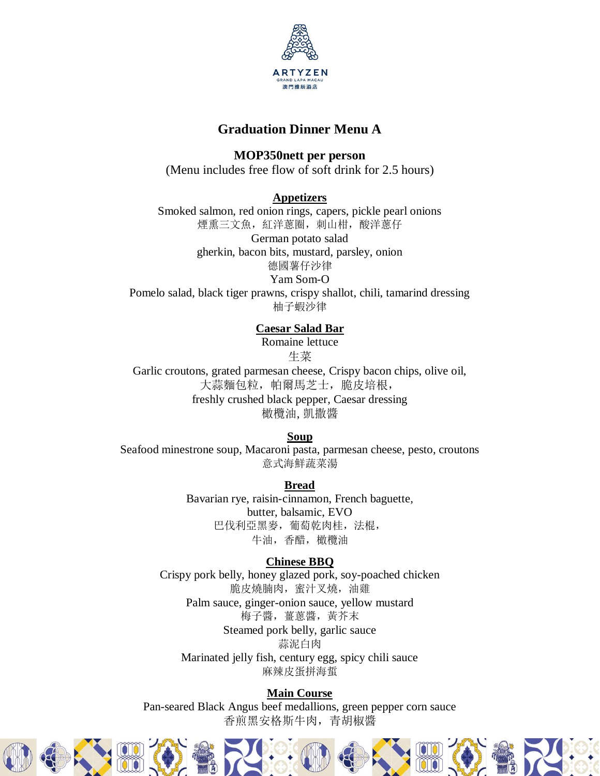

# **Graduation Dinner Menu A**

**MOP350nett per person**

(Menu includes free flow of soft drink for 2.5 hours)

**Appetizers**

Smoked salmon, red onion rings, capers, pickle pearl onions 煙熏三文魚,紅洋蔥圈,刺山柑,酸洋蔥仔 German potato salad gherkin, bacon bits, mustard, parsley, onion 德國薯仔沙律

Yam Som-O Pomelo salad, black tiger prawns, crispy shallot, chili, tamarind dressing 柚子蝦沙律

# **Caesar Salad Bar**

Romaine lettuce 生菜

Garlic croutons, grated parmesan cheese, Crispy bacon chips, olive oil, 大蒜麵包粒,帕爾馬芝士,脆皮培根, freshly crushed black pepper, Caesar dressing 橄欖油, 凱撒醬

### **Soup**

Seafood minestrone soup, Macaroni pasta, parmesan cheese, pesto, croutons 意式海鮮蔬菜湯

**Bread**

Bavarian rye, raisin-cinnamon, French baguette, butter, balsamic, EVO 巴伐利亞黑麥,葡萄乾肉桂,法棍, 牛油,香醋,橄欖油

# **Chinese BBQ**

Crispy pork belly, honey glazed pork, soy-poached chicken 脆皮燒腩肉,蜜汁叉燒,油雞 Palm sauce, ginger-onion sauce, yellow mustard 梅子醬,薑蔥醬,黃芥末 Steamed pork belly, garlic sauce 蒜泥白肉 Marinated jelly fish, century egg, spicy chili sauce 麻辣皮蛋拼海蜇

## **Main Course**

Pan-seared Black Angus beef medallions, green pepper corn sauce 香煎黑安格斯牛肉,青胡椒醬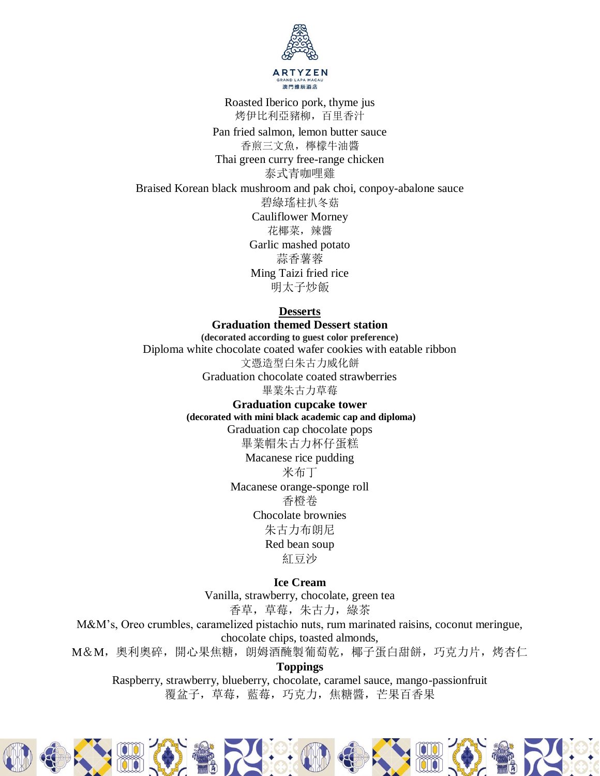

Roasted Iberico pork, thyme jus 烤伊比利亞豬柳,百里香汁

Pan fried salmon, lemon butter sauce 香煎三文魚,檸檬牛油醬 Thai green curry free-range chicken 泰式青咖哩雞 Braised Korean black mushroom and pak choi, conpoy-abalone sauce 碧綠瑤柱扒冬菇 Cauliflower Morney 花椰菜,辣醬 Garlic mashed potato 蒜香薯蓉 Ming Taizi fried rice 明太子炒飯

**Desserts**

**Graduation themed Dessert station (decorated according to guest color preference)** Diploma white chocolate coated wafer cookies with eatable ribbon 文憑造型白朱古力威化餅 Graduation chocolate coated strawberries 畢業朱古力草莓

> **Graduation cupcake tower (decorated with mini black academic cap and diploma)**

Graduation cap chocolate pops 畢業帽朱古力杯仔蛋糕 Macanese rice pudding

米布丁 Macanese orange-sponge roll 香橙卷 Chocolate brownies 朱古力布朗尼 Red bean soup 紅豆沙

**Ice Cream** 

Vanilla, strawberry, chocolate, green tea 香草,草莓,朱古力,綠茶

M&M's, Oreo crumbles, caramelized pistachio nuts, rum marinated raisins, coconut meringue, chocolate chips, toasted almonds,

M&M,奧利奧碎,開心果焦糖,朗姆酒醃製葡萄乾,椰子蛋白甜餅,巧克力片,烤杏仁

**Toppings**

Raspberry, strawberry, blueberry, chocolate, caramel sauce, mango-passionfruit 覆盆子,草莓,藍莓,巧克力,焦糖醬,芒果百香果

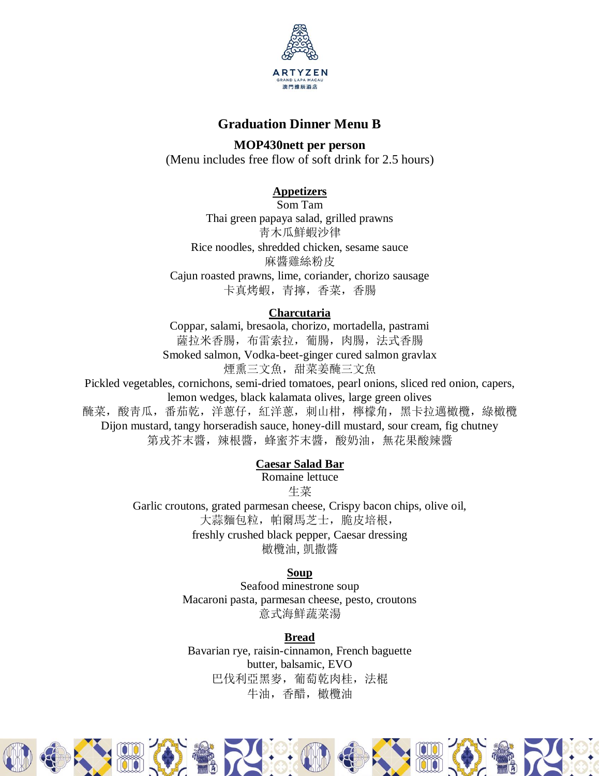

# **Graduation Dinner Menu B**

**MOP430nett per person** (Menu includes free flow of soft drink for 2.5 hours)

# **Appetizers**

Som Tam Thai green papaya salad, grilled prawns 靑木瓜鮮蝦沙律 Rice noodles, shredded chicken, sesame sauce 麻醬雞絲粉皮 Cajun roasted prawns, lime, coriander, chorizo sausage 卡真烤蝦,青擰,香菜,香腸

## **Charcutaria**

Coppar, salami, bresaola, chorizo, mortadella, pastrami 薩拉米香腸,布雷索拉,葡腸,肉腸,法式香腸 Smoked salmon, Vodka-beet-ginger cured salmon gravlax 煙熏三文魚,甜菜姜醃三文魚

Pickled vegetables, cornichons, semi-dried tomatoes, pearl onions, sliced red onion, capers, lemon wedges, black kalamata olives, large green olives 醃菜,酸靑瓜,番茄乾,洋蔥仔,紅洋蔥,刺山柑,檸檬角,黑卡拉邁橄欖,綠橄欖 Dijon mustard, tangy horseradish sauce, honey-dill mustard, sour cream, fig chutney 第戎芥末醬,辣根醬,蜂蜜芥末醬,酸奶油,無花果酸辣醬

# **Caesar Salad Bar**

Romaine lettuce

生菜

Garlic croutons, grated parmesan cheese, Crispy bacon chips, olive oil, 大蒜麵包粒,帕爾馬芝士,脆皮培根, freshly crushed black pepper, Caesar dressing

橄欖油, 凱撒醬

## **Soup**

Seafood minestrone soup Macaroni pasta, parmesan cheese, pesto, croutons 意式海鮮蔬菜湯

## **Bread**

Bavarian rye, raisin-cinnamon, French baguette butter, balsamic, EVO 巴伐利亞黑麥,葡萄乾肉桂,法棍 牛油,香醋,橄欖油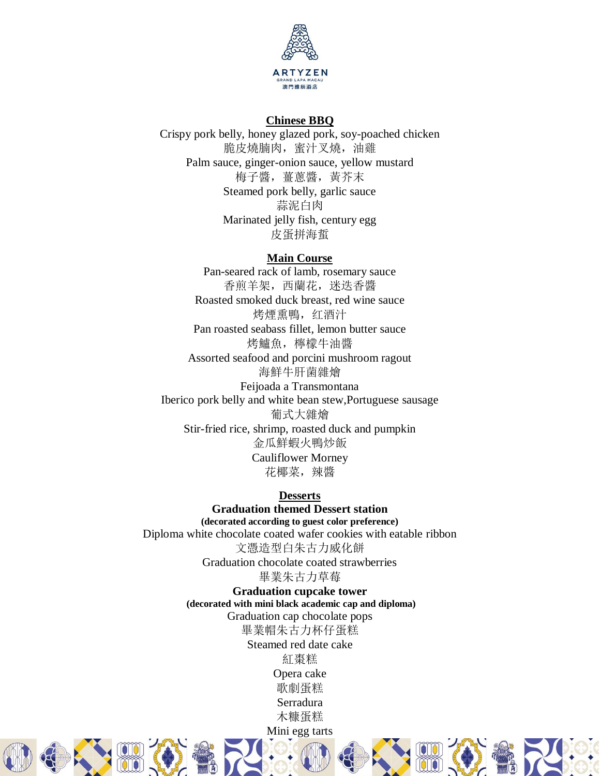

#### **Chinese BBQ**

Crispy pork belly, honey glazed pork, soy-poached chicken 脆皮燒腩肉,蜜汁叉燒,油雞 Palm sauce, ginger-onion sauce, yellow mustard 梅子醬,薑蔥醬,黃芥末 Steamed pork belly, garlic sauce 蒜泥白肉 Marinated jelly fish, century egg 皮蛋拼海蜇

#### **Main Course**

Pan-seared rack of lamb, rosemary sauce 香煎羊架,西蘭花,迷迭香醬 Roasted smoked duck breast, red wine sauce 烤煙熏鴨,红酒汁 Pan roasted seabass fillet, lemon butter sauce 烤鱸魚,檸檬牛油醬 Assorted seafood and porcini mushroom ragout 海鮮牛肝菌雜燴 Feijoada a Transmontana Iberico pork belly and white bean stew,Portuguese sausage 葡式大雜燴 Stir-fried rice, shrimp, roasted duck and pumpkin 金瓜鮮蝦火鴨炒飯 Cauliflower Morney 花椰菜,辣醬

**Desserts Graduation themed Dessert station (decorated according to guest color preference)** Diploma white chocolate coated wafer cookies with eatable ribbon 文憑造型白朱古力威化餅 Graduation chocolate coated strawberries 畢業朱古力草莓

**Graduation cupcake tower (decorated with mini black academic cap and diploma)** Graduation cap chocolate pops 畢業帽朱古力杯仔蛋糕 Steamed red date cake

紅棗糕 Opera cake 歌劇蛋糕 Serradura 木糠蛋糕 Mini egg tarts







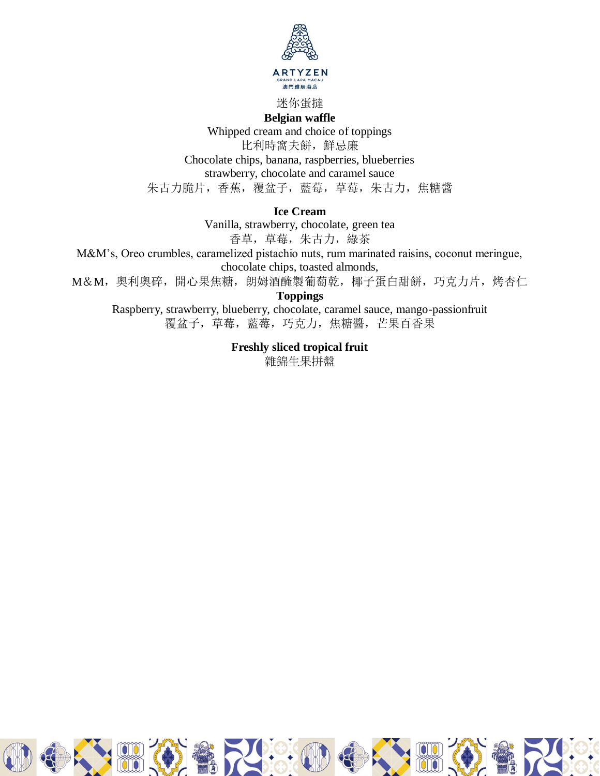

迷你蛋撻

**Belgian waffle** 

Whipped cream and choice of toppings 比利時窩夫餅,鮮忌廉 Chocolate chips, banana, raspberries, blueberries strawberry, chocolate and caramel sauce 朱古力脆片,香蕉,覆盆子,藍莓,草莓,朱古力,焦糖醬

**Ice Cream** 

Vanilla, strawberry, chocolate, green tea 香草,草莓,朱古力,綠茶

M&M's, Oreo crumbles, caramelized pistachio nuts, rum marinated raisins, coconut meringue, chocolate chips, toasted almonds,

M&M,奧利奧碎,開心果焦糖,朗姆酒醃製葡萄乾,椰子蛋白甜餅,巧克力片,烤杏仁

**Toppings**

Raspberry, strawberry, blueberry, chocolate, caramel sauce, mango-passionfruit 覆盆子,草莓,藍莓,巧克力,焦糖醬,芒果百香果

> **Freshly sliced tropical fruit**  雜錦生果拼盤

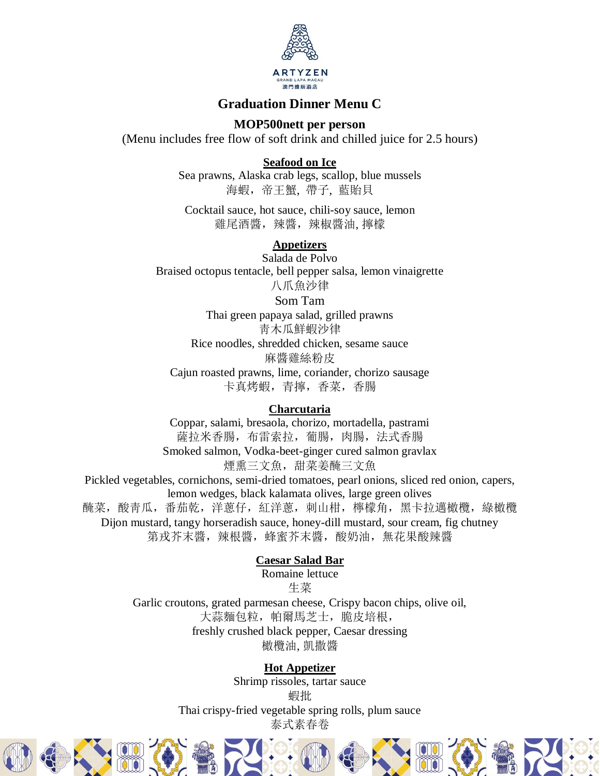

# **Graduation Dinner Menu C**

### **MOP500nett per person**

(Menu includes free flow of soft drink and chilled juice for 2.5 hours)

**Seafood on Ice**

Sea prawns, Alaska crab legs, scallop, blue mussels 海蝦,帝王蟹, 帶子, 藍貽貝

Cocktail sauce, hot sauce, chili-soy sauce, lemon 雞尾酒醬, 辣醬, 辣椒醬油, 擰檬

# **Appetizers**

Salada de Polvo Braised octopus tentacle, bell pepper salsa, lemon vinaigrette 八爪魚沙律

Som Tam

Thai green papaya salad, grilled prawns 靑木瓜鮮蝦沙律 Rice noodles, shredded chicken, sesame sauce 麻醬雞絲粉皮 Cajun roasted prawns, lime, coriander, chorizo sausage

卡真烤蝦,青擰,香菜,香腸

### **Charcutaria**

Coppar, salami, bresaola, chorizo, mortadella, pastrami 薩拉米香腸,布雷索拉,葡腸,肉腸,法式香腸 Smoked salmon, Vodka-beet-ginger cured salmon gravlax

煙熏三文魚,甜菜姜醃三文魚

Pickled vegetables, cornichons, semi-dried tomatoes, pearl onions, sliced red onion, capers, lemon wedges, black kalamata olives, large green olives 醃菜,酸青瓜,番茄乾,洋蔥仔,紅洋蔥,刺山柑,檸檬角,黑卡拉邁橄欖,綠橄欖 Dijon mustard, tangy horseradish sauce, honey-dill mustard, sour cream, fig chutney 第戎芥末醬,辣根醬,蜂蜜芥末醬,酸奶油,無花果酸辣醬

## **Caesar Salad Bar**

Romaine lettuce 生菜

Garlic croutons, grated parmesan cheese, Crispy bacon chips, olive oil, 大蒜麵包粒,帕爾馬芝士,脆皮培根, freshly crushed black pepper, Caesar dressing 橄欖油, 凱撒醬

### **Hot Appetizer**

Shrimp rissoles, tartar sauce 蝦批 Thai crispy-fried vegetable spring rolls, plum sauce 泰式素春卷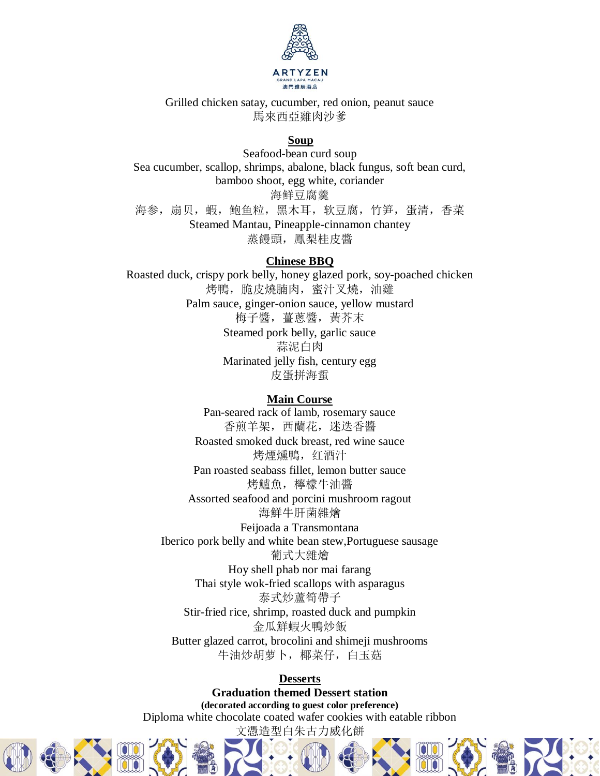

Grilled chicken satay, cucumber, red onion, peanut sauce 馬來西亞雞肉沙爹

#### **Soup**

Seafood-bean curd soup Sea cucumber, scallop, shrimps, abalone, black fungus, soft bean curd, bamboo shoot, egg white, coriander 海鲜豆腐羹 海参,扇贝, 蝦, 鲍鱼粒, 黑木耳, 软豆腐, 竹笋, 蛋清, 香菜 Steamed Mantau, Pineapple-cinnamon chantey 蒸饅頭,鳳梨桂皮醬

#### **Chinese BBQ**

Roasted duck, crispy pork belly, honey glazed pork, soy-poached chicken 烤鴨,脆皮燒腩肉,蜜汁叉燒,油雞 Palm sauce, ginger-onion sauce, yellow mustard 梅子醬,薑蔥醬,黃芥末 Steamed pork belly, garlic sauce 蒜泥白肉 Marinated jelly fish, century egg 皮蛋拼海蜇

#### **Main Course**

Pan-seared rack of lamb, rosemary sauce 香煎羊架,西蘭花,迷迭香醬 Roasted smoked duck breast, red wine sauce 烤煙燻鴨,红酒汁 Pan roasted seabass fillet, lemon butter sauce 烤鱸魚,檸檬牛油醬 Assorted seafood and porcini mushroom ragout 海鮮牛肝菌雜燴 Feijoada a Transmontana Iberico pork belly and white bean stew,Portuguese sausage 葡式大雜燴 Hoy shell phab nor mai farang Thai style wok-fried scallops with asparagus 泰式炒蘆筍帶子

Stir-fried rice, shrimp, roasted duck and pumpkin 金瓜鮮蝦火鴨炒飯 Butter glazed carrot, brocolini and shimeji mushrooms

牛油炒胡萝卜,椰菜仔,白玉菇

#### **Desserts**

**Graduation themed Dessert station (decorated according to guest color preference)** Diploma white chocolate coated wafer cookies with eatable ribbon 文憑造型白朱古力威化餅





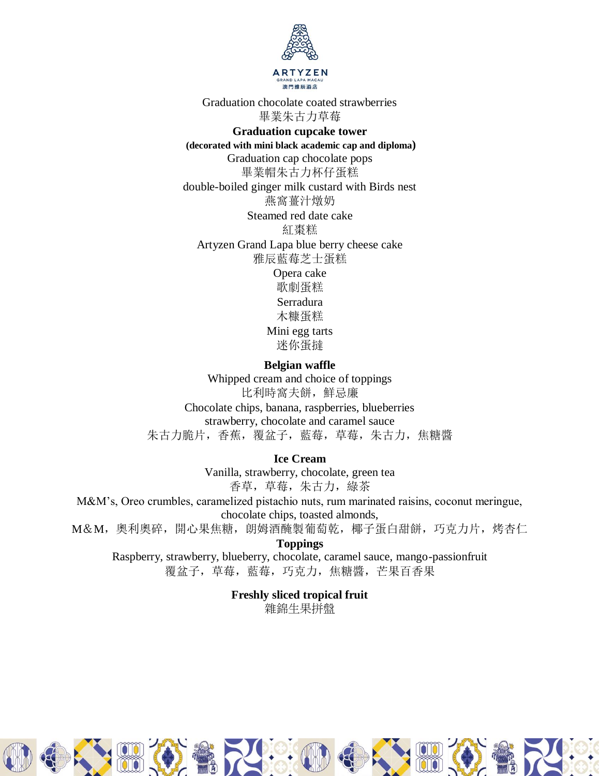

Graduation chocolate coated strawberries 畢業朱古力草莓

**Graduation cupcake tower (decorated with mini black academic cap and diploma)**

Graduation cap chocolate pops 畢業帽朱古力杯仔蛋糕 double-boiled ginger milk custard with Birds nest 燕窩薑汁燉奶 Steamed red date cake 紅棗糕 Artyzen Grand Lapa blue berry cheese cake 雅辰藍莓芝士蛋糕 Opera cake 歌劇蛋糕

Serradura 木糠蛋糕 Mini egg tarts 迷你蛋撻

**Belgian waffle**  Whipped cream and choice of toppings 比利時窩夫餅,鮮忌廉

Chocolate chips, banana, raspberries, blueberries strawberry, chocolate and caramel sauce 朱古力脆片,香蕉,覆盆子,藍莓,草莓,朱古力,焦糖醬

**Ice Cream** 

Vanilla, strawberry, chocolate, green tea 香草,草莓,朱古力,綠茶

M&M's, Oreo crumbles, caramelized pistachio nuts, rum marinated raisins, coconut meringue, chocolate chips, toasted almonds,

M&M, 奧利奧碎, 開心果焦糖, 朗姆酒醃製葡萄乾, 椰子蛋白甜餅, 巧克力片, 烤杏仁

**Toppings**

Raspberry, strawberry, blueberry, chocolate, caramel sauce, mango-passionfruit 覆盆子,草莓,藍莓,巧克力,焦糖醬,芒果百香果

> **Freshly sliced tropical fruit**  雜錦生果拼盤